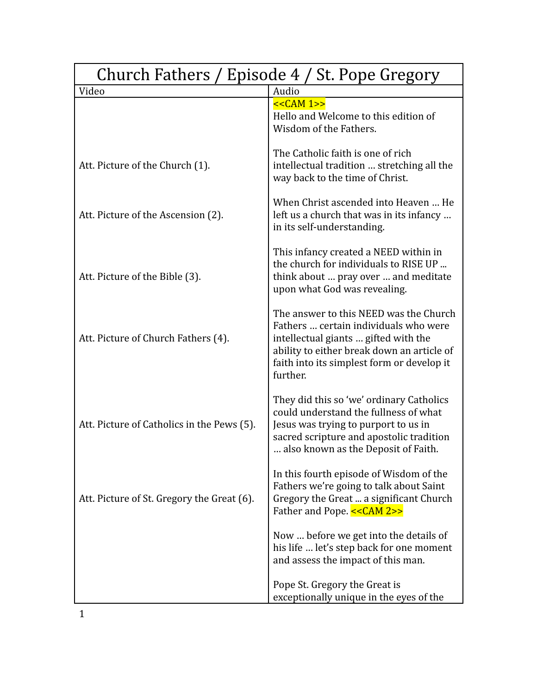| Church Fathers / Episode 4 / St. Pope Gregory |                                                                                                                                                                                                                                 |
|-----------------------------------------------|---------------------------------------------------------------------------------------------------------------------------------------------------------------------------------------------------------------------------------|
| Video                                         | Audio                                                                                                                                                                                                                           |
|                                               | $<<CAM 1>>$<br>Hello and Welcome to this edition of<br>Wisdom of the Fathers.                                                                                                                                                   |
| Att. Picture of the Church (1).               | The Catholic faith is one of rich<br>intellectual tradition  stretching all the<br>way back to the time of Christ.                                                                                                              |
| Att. Picture of the Ascension (2).            | When Christ ascended into Heaven  He<br>left us a church that was in its infancy<br>in its self-understanding.                                                                                                                  |
| Att. Picture of the Bible (3).                | This infancy created a NEED within in<br>the church for individuals to RISE UP<br>think about  pray over  and meditate<br>upon what God was revealing.                                                                          |
| Att. Picture of Church Fathers (4).           | The answer to this NEED was the Church<br>Fathers  certain individuals who were<br>intellectual giants  gifted with the<br>ability to either break down an article of<br>faith into its simplest form or develop it<br>further. |
| Att. Picture of Catholics in the Pews (5).    | They did this so 'we' ordinary Catholics<br>could understand the fullness of what<br>Jesus was trying to purport to us in<br>sacred scripture and apostolic tradition<br>also known as the Deposit of Faith.                    |
| Att. Picture of St. Gregory the Great (6).    | In this fourth episode of Wisdom of the<br>Fathers we're going to talk about Saint<br>Gregory the Great  a significant Church<br>Father and Pope. << CAM 2>>                                                                    |
|                                               | Now  before we get into the details of<br>his life  let's step back for one moment<br>and assess the impact of this man.                                                                                                        |
|                                               | Pope St. Gregory the Great is<br>exceptionally unique in the eyes of the                                                                                                                                                        |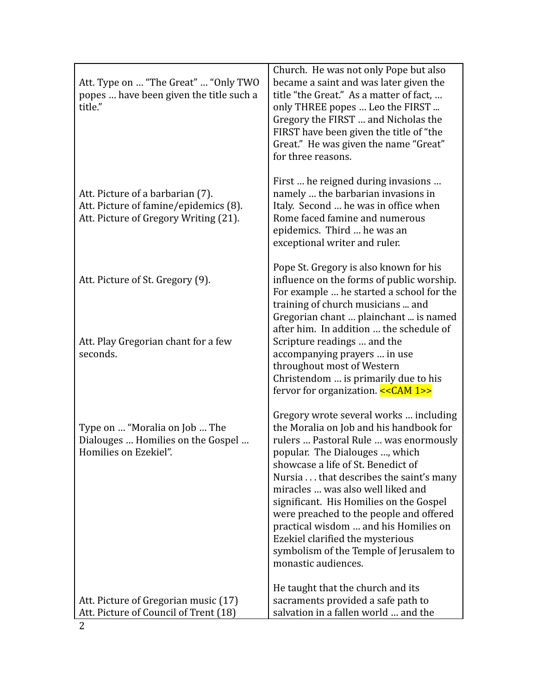| Att. Type on  "The Great"  "Only TWO<br>popes  have been given the title such a<br>title."                         | Church. He was not only Pope but also<br>became a saint and was later given the<br>title "the Great." As a matter of fact,<br>only THREE popes  Leo the FIRST<br>Gregory the FIRST  and Nicholas the<br>FIRST have been given the title of "the<br>Great." He was given the name "Great"<br>for three reasons.                                                                                                                                                                                                         |
|--------------------------------------------------------------------------------------------------------------------|------------------------------------------------------------------------------------------------------------------------------------------------------------------------------------------------------------------------------------------------------------------------------------------------------------------------------------------------------------------------------------------------------------------------------------------------------------------------------------------------------------------------|
| Att. Picture of a barbarian (7).<br>Att. Picture of famine/epidemics (8).<br>Att. Picture of Gregory Writing (21). | First  he reigned during invasions<br>namely  the barbarian invasions in<br>Italy. Second  he was in office when<br>Rome faced famine and numerous<br>epidemics. Third  he was an<br>exceptional writer and ruler.                                                                                                                                                                                                                                                                                                     |
| Att. Picture of St. Gregory (9).                                                                                   | Pope St. Gregory is also known for his<br>influence on the forms of public worship.<br>For example  he started a school for the<br>training of church musicians  and<br>Gregorian chant  plainchant  is named<br>after him. In addition  the schedule of                                                                                                                                                                                                                                                               |
| Att. Play Gregorian chant for a few<br>seconds.                                                                    | Scripture readings  and the<br>accompanying prayers  in use<br>throughout most of Western<br>Christendom  is primarily due to his<br>fervor for organization. << CAM 1>>                                                                                                                                                                                                                                                                                                                                               |
| Type on  "Moralia on Job  The<br>Dialouges  Homilies on the Gospel<br>Homilies on Ezekiel".                        | Gregory wrote several works  including<br>the Moralia on Job and his handbook for<br>rulers  Pastoral Rule  was enormously<br>popular. The Dialouges , which<br>showcase a life of St. Benedict of<br>Nursia that describes the saint's many<br>miracles  was also well liked and<br>significant. His Homilies on the Gospel<br>were preached to the people and offered<br>practical wisdom  and his Homilies on<br>Ezekiel clarified the mysterious<br>symbolism of the Temple of Jerusalem to<br>monastic audiences. |
| Att. Picture of Gregorian music (17)<br>Att. Picture of Council of Trent (18)                                      | He taught that the church and its<br>sacraments provided a safe path to<br>salvation in a fallen world  and the                                                                                                                                                                                                                                                                                                                                                                                                        |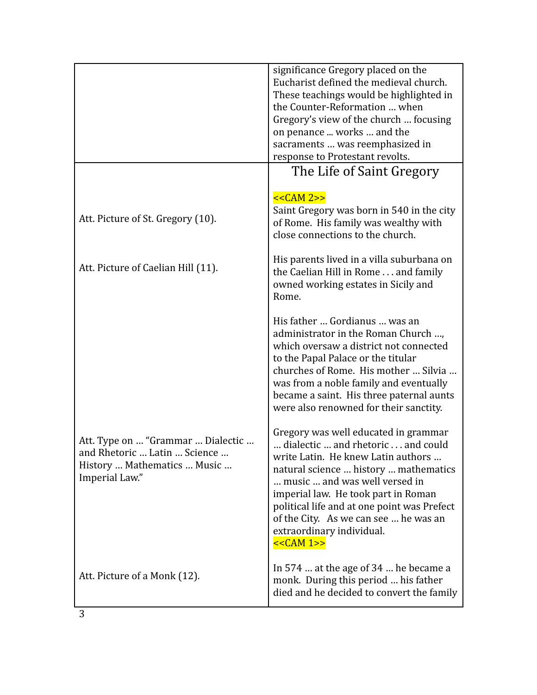|                                                                                                                    | significance Gregory placed on the<br>Eucharist defined the medieval church.<br>These teachings would be highlighted in<br>the Counter-Reformation  when<br>Gregory's view of the church  focusing<br>on penance  works  and the<br>sacraments  was reemphasized in<br>response to Protestant revolts.                                                                      |
|--------------------------------------------------------------------------------------------------------------------|-----------------------------------------------------------------------------------------------------------------------------------------------------------------------------------------------------------------------------------------------------------------------------------------------------------------------------------------------------------------------------|
|                                                                                                                    | The Life of Saint Gregory                                                                                                                                                                                                                                                                                                                                                   |
| Att. Picture of St. Gregory (10).                                                                                  | $<<CAM 2>>$<br>Saint Gregory was born in 540 in the city<br>of Rome. His family was wealthy with<br>close connections to the church.                                                                                                                                                                                                                                        |
| Att. Picture of Caelian Hill (11).                                                                                 | His parents lived in a villa suburbana on<br>the Caelian Hill in Rome and family<br>owned working estates in Sicily and<br>Rome.                                                                                                                                                                                                                                            |
|                                                                                                                    | His father  Gordianus  was an<br>administrator in the Roman Church ,<br>which oversaw a district not connected<br>to the Papal Palace or the titular<br>churches of Rome. His mother  Silvia<br>was from a noble family and eventually<br>became a saint. His three paternal aunts<br>were also renowned for their sanctity.                                                |
| Att. Type on  "Grammar  Dialectic<br>and Rhetoric  Latin  Science<br>History  Mathematics  Music<br>Imperial Law." | Gregory was well educated in grammar<br>dialectic  and rhetoric  and could<br>write Latin. He knew Latin authors<br>natural science  history  mathematics<br>music  and was well versed in<br>imperial law. He took part in Roman<br>political life and at one point was Prefect<br>of the City. As we can see  he was an<br>extraordinary individual.<br><< <b>CAM</b> 1>> |
| Att. Picture of a Monk (12).                                                                                       | In 574 $\dots$ at the age of 34 $\dots$ he became a<br>monk. During this period  his father<br>died and he decided to convert the family                                                                                                                                                                                                                                    |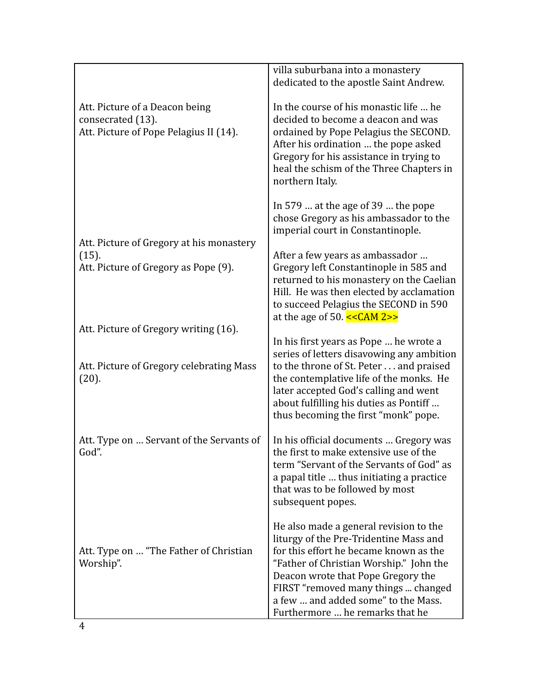|                                                                                               | villa suburbana into a monastery<br>dedicated to the apostle Saint Andrew.                                                                                                                                                                                                                                                   |
|-----------------------------------------------------------------------------------------------|------------------------------------------------------------------------------------------------------------------------------------------------------------------------------------------------------------------------------------------------------------------------------------------------------------------------------|
| Att. Picture of a Deacon being<br>consecrated (13).<br>Att. Picture of Pope Pelagius II (14). | In the course of his monastic life  he<br>decided to become a deacon and was<br>ordained by Pope Pelagius the SECOND.<br>After his ordination  the pope asked<br>Gregory for his assistance in trying to<br>heal the schism of the Three Chapters in<br>northern Italy.                                                      |
| Att. Picture of Gregory at his monastery                                                      | In 579 $\dots$ at the age of 39 $\dots$ the pope<br>chose Gregory as his ambassador to the<br>imperial court in Constantinople.                                                                                                                                                                                              |
| (15).<br>Att. Picture of Gregory as Pope (9).                                                 | After a few years as ambassador<br>Gregory left Constantinople in 585 and<br>returned to his monastery on the Caelian<br>Hill. He was then elected by acclamation<br>to succeed Pelagius the SECOND in 590<br>at the age of 50. $<<CAM 2>>$                                                                                  |
| Att. Picture of Gregory writing (16).<br>Att. Picture of Gregory celebrating Mass<br>(20).    | In his first years as Pope  he wrote a<br>series of letters disavowing any ambition<br>to the throne of St. Peter and praised<br>the contemplative life of the monks. He<br>later accepted God's calling and went<br>about fulfilling his duties as Pontiff<br>thus becoming the first "monk" pope.                          |
| Att. Type on  Servant of the Servants of<br>God".                                             | In his official documents  Gregory was<br>the first to make extensive use of the<br>term "Servant of the Servants of God" as<br>a papal title  thus initiating a practice<br>that was to be followed by most<br>subsequent popes.                                                                                            |
| Att. Type on  "The Father of Christian<br>Worship".                                           | He also made a general revision to the<br>liturgy of the Pre-Tridentine Mass and<br>for this effort he became known as the<br>"Father of Christian Worship." John the<br>Deacon wrote that Pope Gregory the<br>FIRST "removed many things  changed<br>a few  and added some" to the Mass.<br>Furthermore  he remarks that he |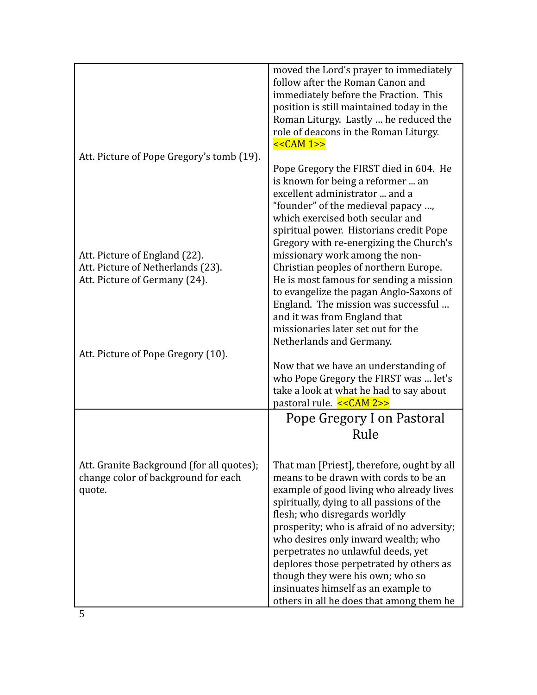|                                                                                                     | moved the Lord's prayer to immediately<br>follow after the Roman Canon and<br>immediately before the Fraction. This<br>position is still maintained today in the<br>Roman Liturgy. Lastly  he reduced the<br>role of deacons in the Roman Liturgy.<br>$<<CAM 1>>$                                                                                                                                                                                                                                          |
|-----------------------------------------------------------------------------------------------------|------------------------------------------------------------------------------------------------------------------------------------------------------------------------------------------------------------------------------------------------------------------------------------------------------------------------------------------------------------------------------------------------------------------------------------------------------------------------------------------------------------|
| Att. Picture of Pope Gregory's tomb (19).                                                           | Pope Gregory the FIRST died in 604. He<br>is known for being a reformer  an<br>excellent administrator  and a<br>"founder" of the medieval papacy ,<br>which exercised both secular and<br>spiritual power. Historians credit Pope<br>Gregory with re-energizing the Church's                                                                                                                                                                                                                              |
| Att. Picture of England (22).<br>Att. Picture of Netherlands (23).<br>Att. Picture of Germany (24). | missionary work among the non-<br>Christian peoples of northern Europe.<br>He is most famous for sending a mission<br>to evangelize the pagan Anglo-Saxons of<br>England. The mission was successful<br>and it was from England that<br>missionaries later set out for the<br>Netherlands and Germany.                                                                                                                                                                                                     |
| Att. Picture of Pope Gregory (10).                                                                  |                                                                                                                                                                                                                                                                                                                                                                                                                                                                                                            |
|                                                                                                     | Now that we have an understanding of<br>who Pope Gregory the FIRST was  let's<br>take a look at what he had to say about<br>pastoral rule. << CAM 2>>                                                                                                                                                                                                                                                                                                                                                      |
|                                                                                                     | Pope Gregory I on Pastoral<br>Rule                                                                                                                                                                                                                                                                                                                                                                                                                                                                         |
| Att. Granite Background (for all quotes);<br>change color of background for each<br>quote.          | That man [Priest], therefore, ought by all<br>means to be drawn with cords to be an<br>example of good living who already lives<br>spiritually, dying to all passions of the<br>flesh; who disregards worldly<br>prosperity; who is afraid of no adversity;<br>who desires only inward wealth; who<br>perpetrates no unlawful deeds, yet<br>deplores those perpetrated by others as<br>though they were his own; who so<br>insinuates himself as an example to<br>others in all he does that among them he |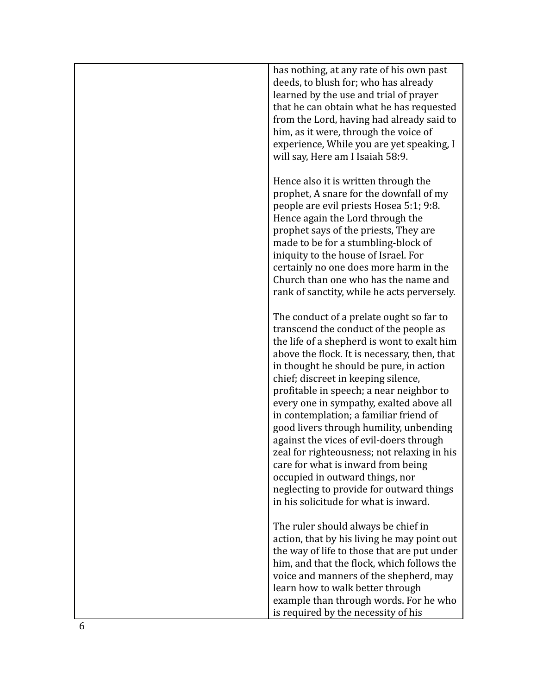| has nothing, at any rate of his own past<br>deeds, to blush for; who has already<br>learned by the use and trial of prayer<br>that he can obtain what he has requested<br>from the Lord, having had already said to<br>him, as it were, through the voice of<br>experience, While you are yet speaking, I<br>will say, Here am I Isaiah 58:9.                                                                                                                                                                                                                                                                                                                                                            |
|----------------------------------------------------------------------------------------------------------------------------------------------------------------------------------------------------------------------------------------------------------------------------------------------------------------------------------------------------------------------------------------------------------------------------------------------------------------------------------------------------------------------------------------------------------------------------------------------------------------------------------------------------------------------------------------------------------|
| Hence also it is written through the<br>prophet, A snare for the downfall of my<br>people are evil priests Hosea 5:1; 9:8.<br>Hence again the Lord through the<br>prophet says of the priests, They are<br>made to be for a stumbling-block of<br>iniquity to the house of Israel. For<br>certainly no one does more harm in the<br>Church than one who has the name and<br>rank of sanctity, while he acts perversely.                                                                                                                                                                                                                                                                                  |
| The conduct of a prelate ought so far to<br>transcend the conduct of the people as<br>the life of a shepherd is wont to exalt him<br>above the flock. It is necessary, then, that<br>in thought he should be pure, in action<br>chief; discreet in keeping silence,<br>profitable in speech; a near neighbor to<br>every one in sympathy, exalted above all<br>in contemplation; a familiar friend of<br>good livers through humility, unbending<br>against the vices of evil-doers through<br>zeal for righteousness; not relaxing in his<br>care for what is inward from being<br>occupied in outward things, nor<br>neglecting to provide for outward things<br>in his solicitude for what is inward. |
| The ruler should always be chief in<br>action, that by his living he may point out<br>the way of life to those that are put under<br>him, and that the flock, which follows the<br>voice and manners of the shepherd, may<br>learn how to walk better through<br>example than through words. For he who<br>is required by the necessity of his                                                                                                                                                                                                                                                                                                                                                           |